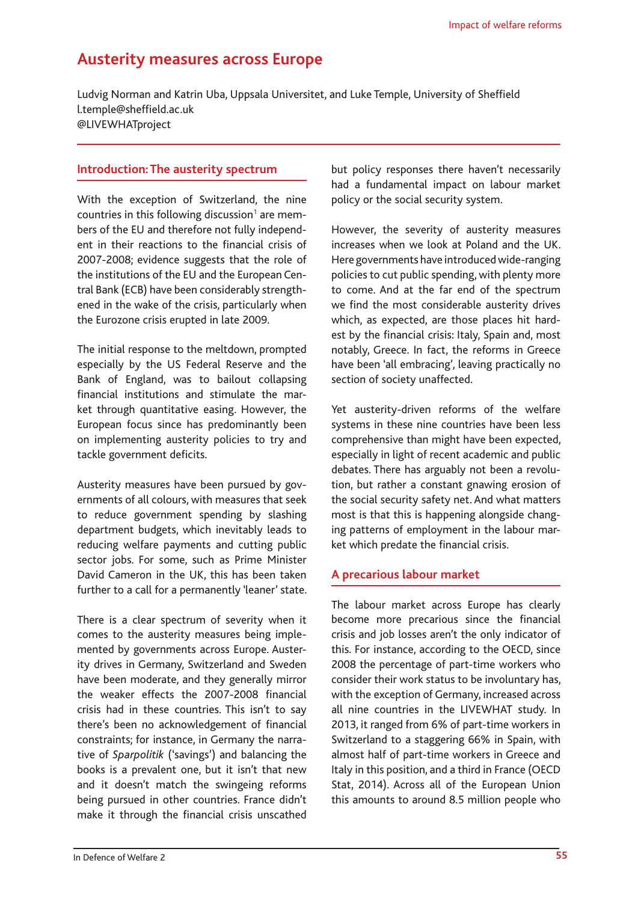# **Austerity measures across Europe**

Ludvig Norman and Katrin Uba, Uppsala Universitet, and Luke Temple, University of Sheffield [l.temple@sheffield.ac.uk](mailto:l.temple@sheffield.ac.uk) [@LIVEWHATproject](https://twitter.com/livewhatproject)

### **Introduction: The austerity spectrum**

With the exception of Switzerland, the nine countries in this following discussion<sup>1</sup> are members of the EU and therefore not fully independent in their reactions to the financial crisis of 2007-2008; evidence suggests that the role of the institutions of the EU and the European Central Bank (ECB) have been considerably strengthened in the wake of the crisis, particularly when the Eurozone crisis erupted in late 2009.

The initial response to the meltdown, prompted especially by the US Federal Reserve and the Bank of England, was to bailout collapsing financial institutions and stimulate the market through quantitative easing. However, the European focus since has predominantly been on implementing austerity policies to try and tackle government deficits.

Austerity measures have been pursued by governments of all colours, with measures that seek to reduce government spending by slashing department budgets, which inevitably leads to reducing welfare payments and cutting public sector jobs. For some, such as Prime Minister David Cameron in the UK, this has been taken further to a call for a permanently 'leaner' state.

There is a clear spectrum of severity when it comes to the austerity measures being implemented by governments across Europe. Austerity drives in Germany, Switzerland and Sweden have been moderate, and they generally mirror the weaker effects the 2007-2008 financial crisis had in these countries. This isn't to say there's been no acknowledgement of financial constraints; for instance, in Germany the narrative of *Sparpolitik* ('savings') and balancing the books is a prevalent one, but it isn't that new and it doesn't match the swingeing reforms being pursued in other countries. France didn't make it through the financial crisis unscathed

but policy responses there haven't necessarily had a fundamental impact on labour market policy or the social security system.

However, the severity of austerity measures increases when we look at Poland and the UK. Here governments have introduced wide-ranging policies to cut public spending, with plenty more to come. And at the far end of the spectrum we find the most considerable austerity drives which, as expected, are those places hit hardest by the financial crisis: Italy, Spain and, most notably, Greece. In fact, the reforms in Greece have been 'all embracing', leaving practically no section of society unaffected.

Yet austerity-driven reforms of the welfare systems in these nine countries have been less comprehensive than might have been expected, especially in light of recent academic and public debates. There has arguably not been a revolution, but rather a constant gnawing erosion of the social security safety net. And what matters most is that this is happening alongside changing patterns of employment in the labour market which predate the financial crisis.

## **A precarious labour market**

The labour market across Europe has clearly become more precarious since the financial crisis and job losses aren't the only indicator of this. For instance, according to the OECD, since 2008 the percentage of part-time workers who consider their work status to be involuntary has, with the exception of Germany, increased across all nine countries in the LIVEWHAT study. In 2013, it ranged from 6% of part-time workers in Switzerland to a staggering 66% in Spain, with almost half of part-time workers in Greece and Italy in this position, and a third in France (OECD Stat, 2014). Across all of the European Union this amounts to around 8.5 million people who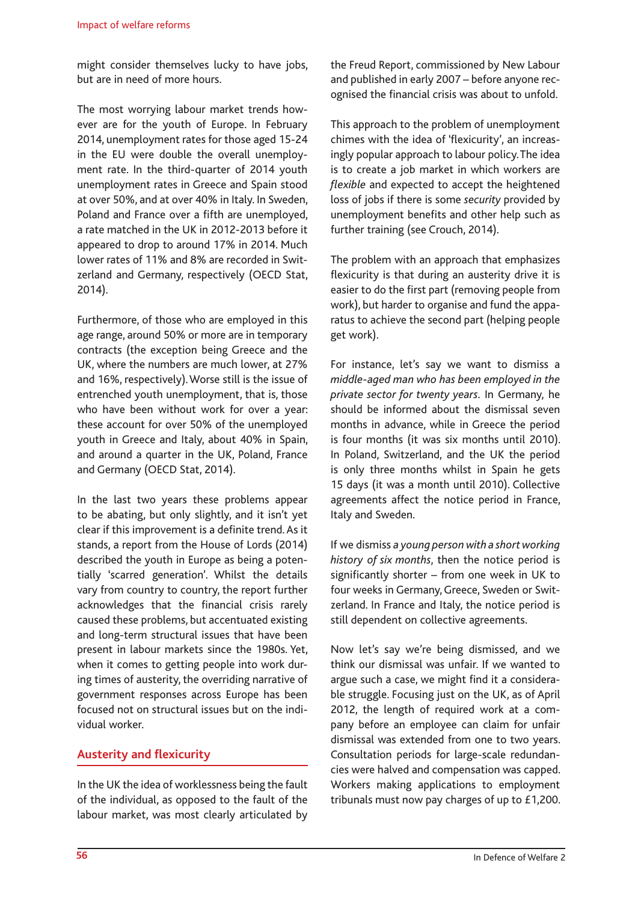might consider themselves lucky to have jobs, but are in need of more hours.

The most worrying labour market trends however are for the youth of Europe. In February 2014, unemployment rates for those aged 15-24 in the EU were double the overall unemployment rate. In the third-quarter of 2014 youth unemployment rates in Greece and Spain stood at over 50%, and at over 40% in Italy. In Sweden, Poland and France over a fifth are unemployed, a rate matched in the UK in 2012-2013 before it appeared to drop to around 17% in 2014. Much lower rates of 11% and 8% are recorded in Switzerland and Germany, respectively (OECD Stat, 2014).

Furthermore, of those who are employed in this age range, around 50% or more are in temporary contracts (the exception being Greece and the UK, where the numbers are much lower, at 27% and 16%, respectively). Worse still is the issue of entrenched youth unemployment, that is, those who have been without work for over a year: these account for over 50% of the unemployed youth in Greece and Italy, about 40% in Spain, and around a quarter in the UK, Poland, France and Germany (OECD Stat, 2014).

In the last two years these problems appear to be abating, but only slightly, and it isn't yet clear if this improvement is a definite trend. As it stands, a report from the House of Lords (2014) described the youth in Europe as being a potentially 'scarred generation'. Whilst the details vary from country to country, the report further acknowledges that the financial crisis rarely caused these problems, but accentuated existing and long-term structural issues that have been present in labour markets since the 1980s. Yet, when it comes to getting people into work during times of austerity, the overriding narrative of government responses across Europe has been focused not on structural issues but on the individual worker.

# **Austerity and flexicurity**

In the UK the idea of worklessness being the fault of the individual, as opposed to the fault of the labour market, was most clearly articulated by the Freud Report, commissioned by New Labour and published in early 2007 – before anyone recognised the financial crisis was about to unfold.

This approach to the problem of unemployment chimes with the idea of 'flexicurity', an increasingly popular approach to labour policy. The idea is to create a job market in which workers are *flexible* and expected to accept the heightened loss of jobs if there is some *security* provided by unemployment benefits and other help such as further training (see Crouch, 2014).

The problem with an approach that emphasizes flexicurity is that during an austerity drive it is easier to do the first part (removing people from work), but harder to organise and fund the apparatus to achieve the second part (helping people get work).

For instance, let's say we want to dismiss a *middle-aged man who has been employed in the private sector for twenty years*. In Germany, he should be informed about the dismissal seven months in advance, while in Greece the period is four months (it was six months until 2010). In Poland, Switzerland, and the UK the period is only three months whilst in Spain he gets 15 days (it was a month until 2010). Collective agreements affect the notice period in France, Italy and Sweden.

If we dismiss *a young person with a short working history of six months*, then the notice period is significantly shorter – from one week in UK to four weeks in Germany, Greece, Sweden or Switzerland. In France and Italy, the notice period is still dependent on collective agreements.

Now let's say we're being dismissed, and we think our dismissal was unfair. If we wanted to argue such a case, we might find it a considerable struggle. Focusing just on the UK, as of April 2012, the length of required work at a company before an employee can claim for unfair dismissal was extended from one to two years. Consultation periods for large-scale redundancies were halved and compensation was capped. Workers making applications to employment tribunals must now pay charges of up to £1,200.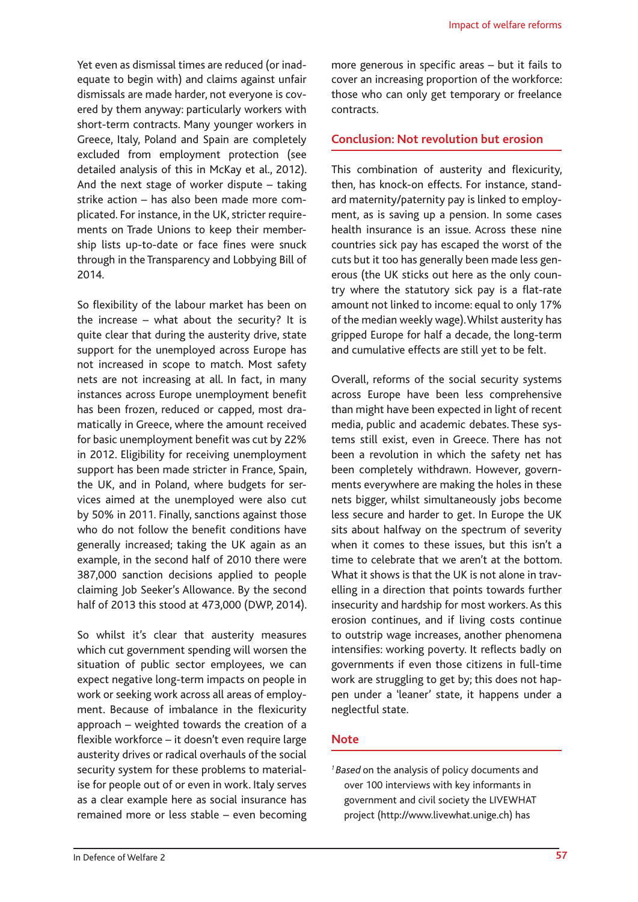Yet even as dismissal times are reduced (or inadequate to begin with) and claims against unfair dismissals are made harder, not everyone is covered by them anyway: particularly workers with short-term contracts. Many younger workers in Greece, Italy, Poland and Spain are completely excluded from employment protection (see detailed analysis of this in McKay et al., 2012). And the next stage of worker dispute – taking strike action – has also been made more complicated. For instance, in the UK, stricter requirements on Trade Unions to keep their membership lists up-to-date or face fines were snuck through in the Transparency and Lobbying Bill of 2014.

So flexibility of the labour market has been on the increase – what about the security? It is quite clear that during the austerity drive, state support for the unemployed across Europe has not increased in scope to match. Most safety nets are not increasing at all. In fact, in many instances across Europe unemployment benefit has been frozen, reduced or capped, most dramatically in Greece, where the amount received for basic unemployment benefit was cut by 22% in 2012. Eligibility for receiving unemployment support has been made stricter in France, Spain, the UK, and in Poland, where budgets for services aimed at the unemployed were also cut by 50% in 2011. Finally, sanctions against those who do not follow the benefit conditions have generally increased; taking the UK again as an example, in the second half of 2010 there were 387,000 sanction decisions applied to people claiming Job Seeker's Allowance. By the second half of 2013 this stood at 473,000 (DWP, 2014).

So whilst it's clear that austerity measures which cut government spending will worsen the situation of public sector employees, we can expect negative long-term impacts on people in work or seeking work across all areas of employment. Because of imbalance in the flexicurity approach – weighted towards the creation of a flexible workforce – it doesn't even require large austerity drives or radical overhauls of the social security system for these problems to materialise for people out of or even in work. Italy serves as a clear example here as social insurance has remained more or less stable – even becoming

more generous in specific areas – but it fails to cover an increasing proportion of the workforce: those who can only get temporary or freelance contracts.

#### **Conclusion: Not revolution but erosion**

This combination of austerity and flexicurity, then, has knock-on effects. For instance, standard maternity/paternity pay is linked to employment, as is saving up a pension. In some cases health insurance is an issue. Across these nine countries sick pay has escaped the worst of the cuts but it too has generally been made less generous (the UK sticks out here as the only country where the statutory sick pay is a flat-rate amount not linked to income: equal to only 17% of the median weekly wage). Whilst austerity has gripped Europe for half a decade, the long-term and cumulative effects are still yet to be felt.

Overall, reforms of the social security systems across Europe have been less comprehensive than might have been expected in light of recent media, public and academic debates. These systems still exist, even in Greece. There has not been a revolution in which the safety net has been completely withdrawn. However, governments everywhere are making the holes in these nets bigger, whilst simultaneously jobs become less secure and harder to get. In Europe the UK sits about halfway on the spectrum of severity when it comes to these issues, but this isn't a time to celebrate that we aren't at the bottom. What it shows is that the UK is not alone in travelling in a direction that points towards further insecurity and hardship for most workers. As this erosion continues, and if living costs continue to outstrip wage increases, another phenomena intensifies: working poverty. It reflects badly on governments if even those citizens in full-time work are struggling to get by; this does not happen under a 'leaner' state, it happens under a neglectful state.

#### **Note**

*1 Based* on the analysis of policy documents and over 100 interviews with key informants in government and civil society the LIVEWHAT project (<http://www.livewhat.unige.ch>) has